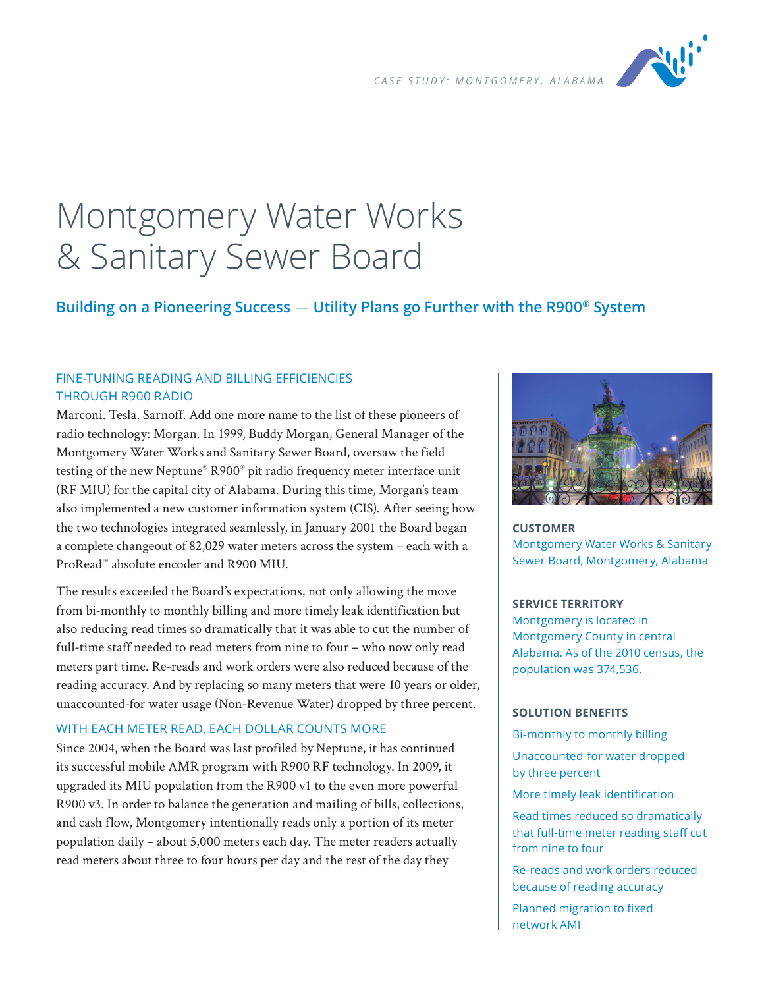

# Montgomery Water Works & Sanitary Sewer Board

# **Building on a Pioneering Success** — **Utility Plans go Further with the R900® System**

# FINE-TUNING READING AND BILLING EFFICIENCIES THROUGH R900 RADIO

Marconi. Tesla. Sarnoff. Add one more name to the list of these pioneers of radio technology: Morgan. In 1999, Buddy Morgan, General Manager of the Montgomery Water Works and Sanitary Sewer Board, oversaw the field testing of the new Neptune® R900® pit radio frequency meter interface unit (RF MIU) for the capital city of Alabama. During this time, Morgan's team also implemented a new customer information system (CIS). After seeing how the two technologies integrated seamlessly, in January 2001 the Board began a complete changeout of 82,029 water meters across the system – each with a ProRead™ absolute encoder and R900 MIU.

The results exceeded the Board's expectations, not only allowing the move from bi-monthly to monthly billing and more timely leak identification but also reducing read times so dramatically that it was able to cut the number of full-time staff needed to read meters from nine to four – who now only read meters part time. Re-reads and work orders were also reduced because of the reading accuracy. And by replacing so many meters that were 10 years or older, unaccounted-for water usage (Non-Revenue Water) dropped by three percent.

# WITH EACH METER READ, EACH DOLLAR COUNTS MORE

Since 2004, when the Board was last profiled by Neptune, it has continued its successful mobile AMR program with R900 RF technology. In 2009, it upgraded its MIU population from the R900 v1 to the even more powerful R900 v3. In order to balance the generation and mailing of bills, collections, and cash flow, Montgomery intentionally reads only a portion of its meter population daily – about 5,000 meters each day. The meter readers actually read meters about three to four hours per day and the rest of the day they



**CUSTOMER** Montgomery Water Works & Sanitary Sewer Board, Montgomery, Alabama

#### **SERVICE TERRITORY**

Montgomery is located in Montgomery County in central Alabama. As of the 2010 census, the population was 374,536.

#### **SOLUTION BENEFITS**

Bi-monthly to monthly billing

Unaccounted-for water dropped by three percent

More timely leak identification

Read times reduced so dramatically that full-time meter reading staff cut from nine to four

Re-reads and work orders reduced because of reading accuracy

Planned migration to fixed network AMI